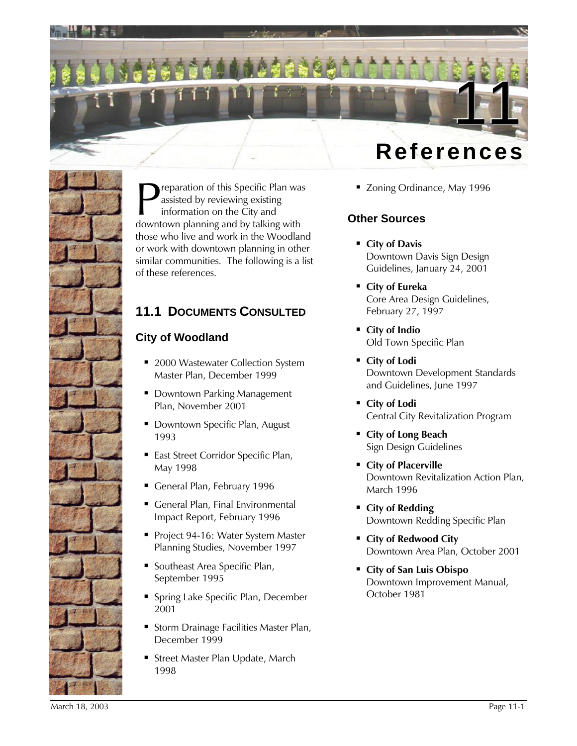



reparation of this Specific Plan was assisted by reviewing existing information on the City and **D** reparation of this Specific Plan was<br>assisted by reviewing existing<br>information on the City and<br>downtown planning and by talking with those who live and work in the Woodland or work with downtown planning in other similar communities. The following is a list of these references.

# **11.1 DOCUMENTS CONSULTED**

### **City of Woodland**

- 2000 Wastewater Collection System Master Plan, December 1999
- **Downtown Parking Management** Plan, November 2001
- **Downtown Specific Plan, August** 1993
- **East Street Corridor Specific Plan,** May 1998
- General Plan, February 1996
- General Plan, Final Environmental Impact Report, February 1996
- Project 94-16: Water System Master Planning Studies, November 1997
- **Southeast Area Specific Plan,** September 1995
- **Spring Lake Specific Plan, December** 2001
- **Storm Drainage Facilities Master Plan,** December 1999
- **Street Master Plan Update, March** 1998

■ Zoning Ordinance, May 1996

### **Other Sources**

- ß **City of Davis** Downtown Davis Sign Design Guidelines, January 24, 2001
- City of Eureka Core Area Design Guidelines, February 27, 1997
- City of Indio Old Town Specific Plan
- City of Lodi Downtown Development Standards and Guidelines, June 1997
- City of Lodi Central City Revitalization Program
- ß **City of Long Beach** Sign Design Guidelines
- **Example 2 City of Placerville** Downtown Revitalization Action Plan, March 1996
- ß **City of Redding** Downtown Redding Specific Plan
- ß **City of Redwood City** Downtown Area Plan, October 2001
- ß **City of San Luis Obispo** Downtown Improvement Manual, October 1981